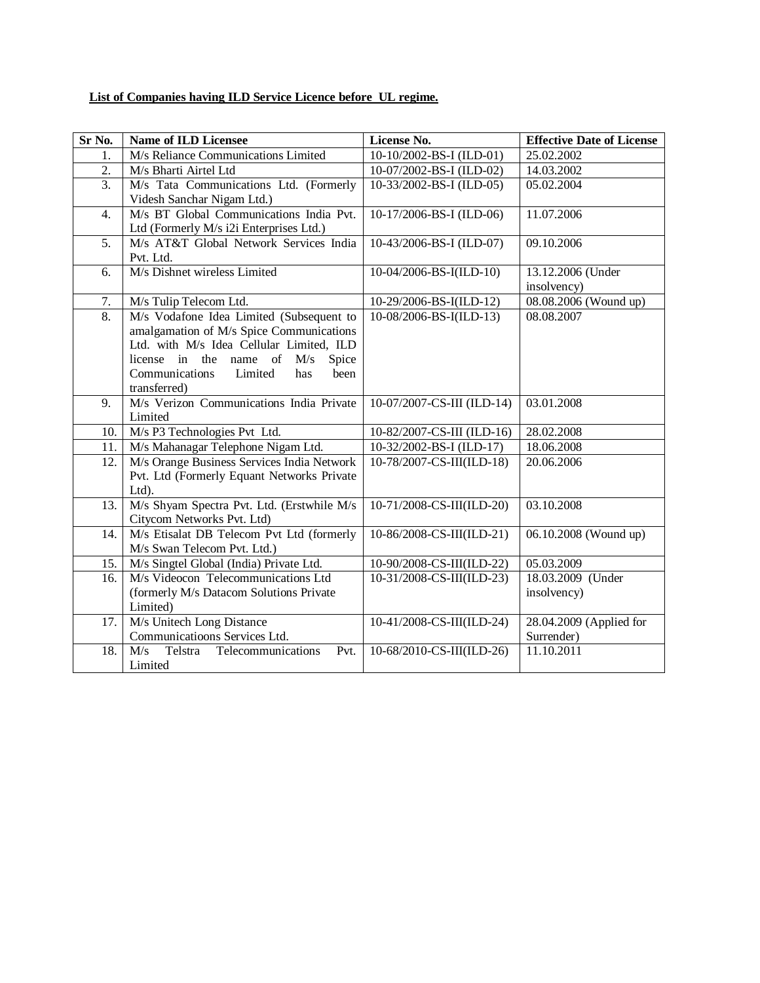## **List of Companies having ILD Service Licence before UL regime.**

| Sr No.           | <b>Name of ILD Licensee</b>                                                                                                                                                                                                            | License No.                | <b>Effective Date of License</b>      |
|------------------|----------------------------------------------------------------------------------------------------------------------------------------------------------------------------------------------------------------------------------------|----------------------------|---------------------------------------|
| 1.               | M/s Reliance Communications Limited                                                                                                                                                                                                    | 10-10/2002-BS-I (ILD-01)   | 25.02.2002                            |
| $\overline{2}$ . | M/s Bharti Airtel Ltd                                                                                                                                                                                                                  | 10-07/2002-BS-I (ILD-02)   | 14.03.2002                            |
| 3.               | M/s Tata Communications Ltd. (Formerly<br>Videsh Sanchar Nigam Ltd.)                                                                                                                                                                   | 10-33/2002-BS-I (ILD-05)   | 05.02.2004                            |
| 4.               | M/s BT Global Communications India Pvt.<br>Ltd (Formerly M/s i2i Enterprises Ltd.)                                                                                                                                                     | 10-17/2006-BS-I (ILD-06)   | 11.07.2006                            |
| 5.               | M/s AT&T Global Network Services India<br>Pvt. Ltd.                                                                                                                                                                                    | 10-43/2006-BS-I (ILD-07)   | 09.10.2006                            |
| 6.               | M/s Dishnet wireless Limited                                                                                                                                                                                                           | 10-04/2006-BS-I(ILD-10)    | 13.12.2006 (Under<br>insolvency)      |
| 7.               | M/s Tulip Telecom Ltd.                                                                                                                                                                                                                 | 10-29/2006-BS-I(ILD-12)    | 08.08.2006 (Wound up)                 |
| $\overline{8}$ . | M/s Vodafone Idea Limited (Subsequent to<br>amalgamation of M/s Spice Communications<br>Ltd. with M/s Idea Cellular Limited, ILD<br>license in the name of<br>M/s<br>Spice<br>Communications<br>Limited<br>been<br>has<br>transferred) | 10-08/2006-BS-I(ILD-13)    | 08.08.2007                            |
| 9.               | M/s Verizon Communications India Private<br>Limited                                                                                                                                                                                    | 10-07/2007-CS-III (ILD-14) | 03.01.2008                            |
| 10.              | M/s P3 Technologies Pvt Ltd.                                                                                                                                                                                                           | 10-82/2007-CS-III (ILD-16) | 28.02.2008                            |
| 11.              | M/s Mahanagar Telephone Nigam Ltd.                                                                                                                                                                                                     | 10-32/2002-BS-I (ILD-17)   | 18.06.2008                            |
| 12.              | M/s Orange Business Services India Network<br>Pvt. Ltd (Formerly Equant Networks Private<br>Ltd).                                                                                                                                      | 10-78/2007-CS-III(ILD-18)  | 20.06.2006                            |
| 13.              | M/s Shyam Spectra Pvt. Ltd. (Erstwhile M/s<br>Citycom Networks Pvt. Ltd)                                                                                                                                                               | 10-71/2008-CS-III(ILD-20)  | 03.10.2008                            |
| 14.              | M/s Etisalat DB Telecom Pvt Ltd (formerly<br>M/s Swan Telecom Pvt. Ltd.)                                                                                                                                                               | 10-86/2008-CS-III(ILD-21)  | 06.10.2008 (Wound up)                 |
| 15.              | M/s Singtel Global (India) Private Ltd.                                                                                                                                                                                                | 10-90/2008-CS-III(ILD-22)  | 05.03.2009                            |
| 16.              | M/s Videocon Telecommunications Ltd<br>(formerly M/s Datacom Solutions Private<br>Limited)                                                                                                                                             | 10-31/2008-CS-III(ILD-23)  | 18.03.2009 (Under<br>insolvency)      |
| 17.              | M/s Unitech Long Distance<br>Communicatioons Services Ltd.                                                                                                                                                                             | 10-41/2008-CS-III(ILD-24)  | 28.04.2009 (Applied for<br>Surrender) |
| 18.              | Telstra<br>Telecommunications<br>Pvt.<br>M/s<br>Limited                                                                                                                                                                                | 10-68/2010-CS-III(ILD-26)  | 11.10.2011                            |